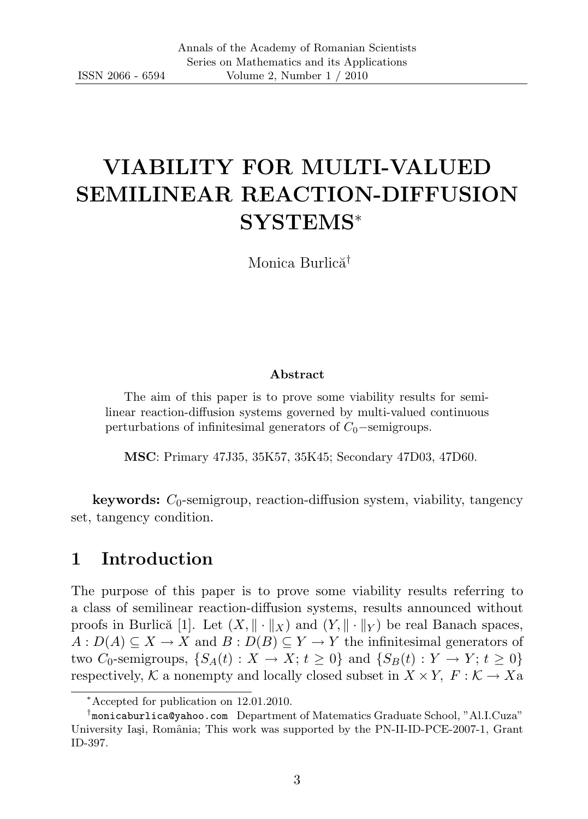# VIABILITY FOR MULTI-VALUED SEMILINEAR REACTION-DIFFUSION SYSTEMS<sup>∗</sup>

Monica Burlică<sup>†</sup>

#### Abstract

The aim of this paper is to prove some viability results for semilinear reaction-diffusion systems governed by multi-valued continuous perturbations of infinitesimal generators of  $C_0$ −semigroups.

MSC: Primary 47J35, 35K57, 35K45; Secondary 47D03, 47D60.

**keywords:**  $C_0$ -semigroup, reaction-diffusion system, viability, tangency set, tangency condition.

## 1 Introduction

The purpose of this paper is to prove some viability results referring to a class of semilinear reaction-diffusion systems, results announced without proofs in Burlică [1]. Let  $(X, \|\cdot\|_X)$  and  $(Y, \|\cdot\|_Y)$  be real Banach spaces,  $A: D(A) \subseteq X \longrightarrow X$  and  $B: D(B) \subseteq Y \longrightarrow Y$  the infinitesimal generators of two  $C_0$ -semigroups,  $\{S_A(t): X \to X; t \geq 0\}$  and  $\{S_B(t): Y \to Y; t \geq 0\}$ respectively, K a nonempty and locally closed subset in  $X \times Y$ ,  $F : \mathcal{K} \to X$ a

<sup>∗</sup>Accepted for publication on 12.01.2010.

<sup>†</sup> monicaburlica@yahoo.com Department of Matematics Graduate School, "Al.I.Cuza" University Iași, România; This work was supported by the PN-II-ID-PCE-2007-1, Grant ID-397.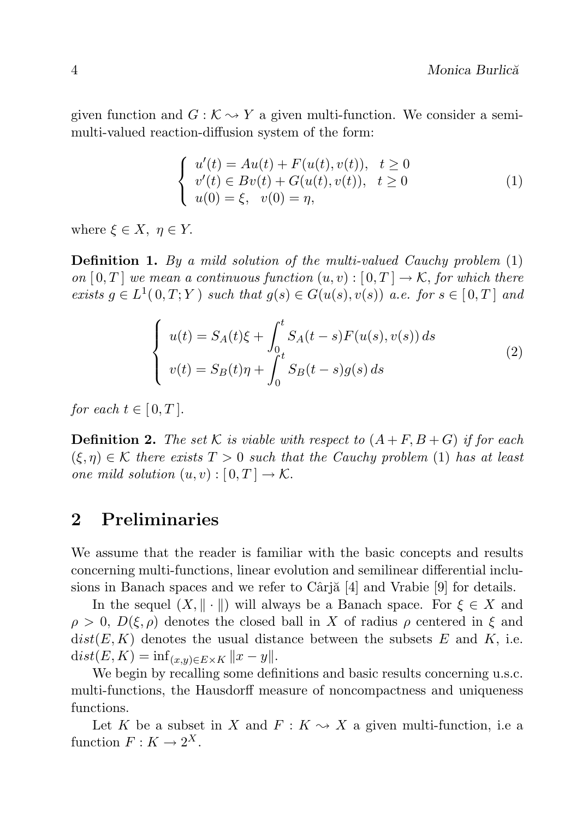given function and  $G: \mathcal{K} \to Y$  a given multi-function. We consider a semimulti-valued reaction-diffusion system of the form:

$$
\begin{cases}\nu'(t) = Au(t) + F(u(t), v(t)), & t \ge 0 \\
v'(t) \in Bv(t) + G(u(t), v(t)), & t \ge 0 \\
u(0) = \xi, & v(0) = \eta,\n\end{cases}
$$
\n(1)

where  $\xi \in X$ ,  $\eta \in Y$ .

**Definition 1.** By a mild solution of the multi-valued Cauchy problem  $(1)$ on  $[0,T]$  we mean a continuous function  $(u, v) : [0,T] \to \mathcal{K}$ , for which there exists  $g \in L^1(0,T;Y)$  such that  $g(s) \in G(u(s), v(s))$  a.e. for  $s \in [0,T]$  and

$$
\begin{cases}\n u(t) = S_A(t)\xi + \int_0^t S_A(t-s)F(u(s), v(s)) ds \\
 v(t) = S_B(t)\eta + \int_0^t S_B(t-s)g(s) ds\n\end{cases}
$$
\n(2)

for each  $t \in [0, T]$ .

**Definition 2.** The set K is viable with respect to  $(A + F, B + G)$  if for each  $(\xi, \eta) \in \mathcal{K}$  there exists  $T > 0$  such that the Cauchy problem (1) has at least one mild solution  $(u, v) : [0, T] \to \mathcal{K}$ .

## 2 Preliminaries

We assume that the reader is familiar with the basic concepts and results concerning multi-functions, linear evolution and semilinear differential inclusions in Banach spaces and we refer to Cârj $\alpha$  [4] and Vrabie [9] for details.

In the sequel  $(X, \|\cdot\|)$  will always be a Banach space. For  $\xi \in X$  and  $\rho > 0$ ,  $D(\xi, \rho)$  denotes the closed ball in X of radius  $\rho$  centered in  $\xi$  and  $dist(E, K)$  denotes the usual distance between the subsets E and K, i.e.  $dist(E, K) = \inf_{(x,y)\in E\times K} ||x - y||.$ 

We begin by recalling some definitions and basic results concerning u.s.c. multi-functions, the Hausdorff measure of noncompactness and uniqueness functions.

Let K be a subset in X and  $F: K \rightarrow X$  a given multi-function, i.e a function  $F: K \to 2^X$ .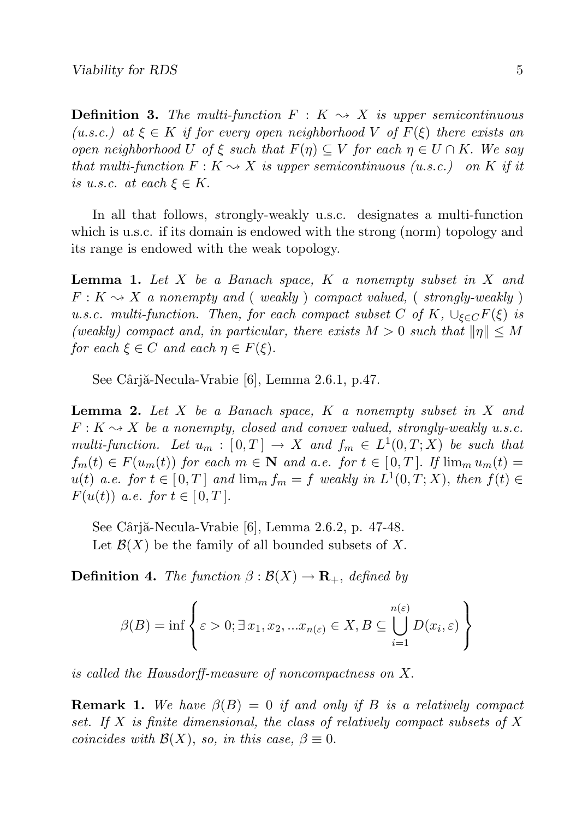**Definition 3.** The multi-function  $F: K \rightarrow X$  is upper semicontinuous (u.s.c.) at  $\xi \in K$  if for every open neighborhood V of  $F(\xi)$  there exists an open neighborhood U of  $\xi$  such that  $F(\eta) \subseteq V$  for each  $\eta \in U \cap K$ . We say that multi-function  $F: K \to X$  is upper semicontinuous (u.s.c.) on K if it is u.s.c. at each  $\xi \in K$ .

In all that follows, strongly-weakly u.s.c. designates a multi-function which is u.s.c. if its domain is endowed with the strong (norm) topology and its range is endowed with the weak topology.

**Lemma 1.** Let  $X$  be a Banach space,  $K$  a nonempty subset in  $X$  and  $F: K \rightarrow X$  a nonempty and (weakly) compact valued, (strongly-weakly) u.s.c. multi-function. Then, for each compact subset C of K,  $\cup_{\xi \in C} F(\xi)$  is (weakly) compact and, in particular, there exists  $M > 0$  such that  $||\eta|| \leq M$ for each  $\xi \in C$  and each  $\eta \in F(\xi)$ .

See Cârjă-Necula-Vrabie [6], Lemma 2.6.1, p.47.

**Lemma 2.** Let  $X$  be a Banach space,  $K$  a nonempty subset in  $X$  and  $F: K \rightarrow X$  be a nonempty, closed and convex valued, strongly-weakly u.s.c. multi-function. Let  $u_m : [0,T] \to X$  and  $f_m \in L^1(0,T;X)$  be such that  $f_m(t) \in F(u_m(t))$  for each  $m \in \mathbb{N}$  and a.e. for  $t \in [0, T]$ . If  $\lim_m u_m(t) =$  $u(t)$  a.e. for  $t \in [0,T]$  and  $\lim_m f_m = f$  weakly in  $L^1(0,T;X)$ , then  $f(t) \in$  $F(u(t))$  a.e. for  $t \in [0, T]$ .

See Câriă-Necula-Vrabie [6], Lemma 2.6.2, p. 47-48. Let  $\mathcal{B}(X)$  be the family of all bounded subsets of X.

**Definition 4.** The function  $\beta : \mathcal{B}(X) \to \mathbf{R}_+$ , defined by

$$
\beta(B) = \inf \left\{ \varepsilon > 0; \exists x_1, x_2, ... x_{n(\varepsilon)} \in X, B \subseteq \bigcup_{i=1}^{n(\varepsilon)} D(x_i, \varepsilon) \right\}
$$

is called the Hausdorff-measure of noncompactness on X.

**Remark 1.** We have  $\beta(B) = 0$  if and only if B is a relatively compact set. If X is finite dimensional, the class of relatively compact subsets of X coincides with  $\mathcal{B}(X)$ , so, in this case,  $\beta \equiv 0$ .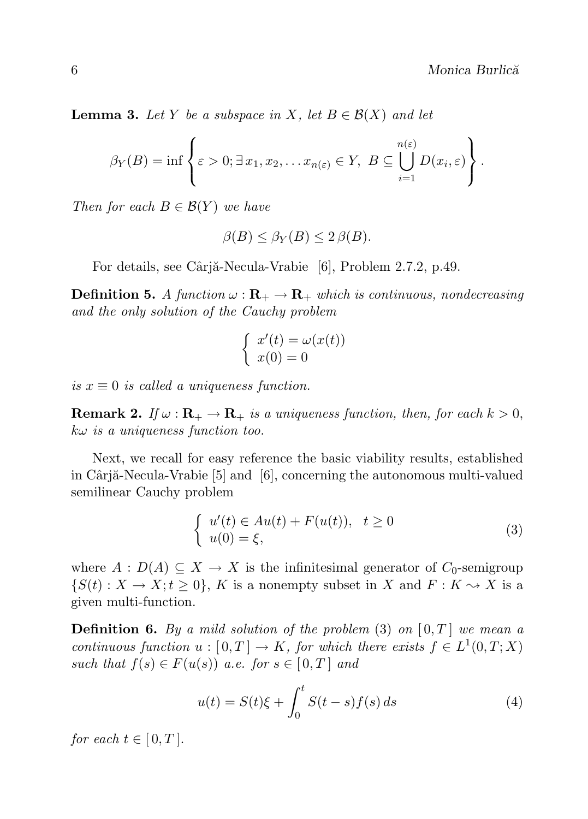**Lemma 3.** Let Y be a subspace in X, let  $B \in \mathcal{B}(X)$  and let

$$
\beta_Y(B) = \inf \left\{ \varepsilon > 0; \exists x_1, x_2, \dots x_{n(\varepsilon)} \in Y, \ B \subseteq \bigcup_{i=1}^{n(\varepsilon)} D(x_i, \varepsilon) \right\}.
$$

Then for each  $B \in \mathcal{B}(Y)$  we have

$$
\beta(B) \le \beta_Y(B) \le 2\beta(B).
$$

For details, see Câriă-Necula-Vrabie [6], Problem 2.7.2, p.49.

**Definition 5.** A function  $\omega : \mathbf{R}_{+} \to \mathbf{R}_{+}$  which is continuous, nondecreasing and the only solution of the Cauchy problem

$$
\begin{cases}\nx'(t) = \omega(x(t)) \\
x(0) = 0\n\end{cases}
$$

is  $x \equiv 0$  is called a uniqueness function.

**Remark 2.** If  $\omega$ :  $\mathbf{R}_{+} \to \mathbf{R}_{+}$  is a uniqueness function, then, for each  $k > 0$ ,  $k\omega$  is a uniqueness function too.

Next, we recall for easy reference the basic viability results, established in Câriă-Necula-Vrabie  $[5]$  and  $[6]$ , concerning the autonomous multi-valued semilinear Cauchy problem

$$
\begin{cases}\n u'(t) \in Au(t) + F(u(t)), \quad t \ge 0 \\
 u(0) = \xi,\n\end{cases} \tag{3}
$$

where  $A: D(A) \subseteq X \to X$  is the infinitesimal generator of  $C_0$ -semigroup  $\{S(t): X \to X; t \geq 0\}, K$  is a nonempty subset in X and  $F: K \to X$  is a given multi-function.

**Definition 6.** By a mild solution of the problem  $(3)$  on  $[0, T]$  we mean a continuous function  $u : [0,T] \to K$ , for which there exists  $f \in L^1(0,T;X)$ such that  $f(s) \in F(u(s))$  a.e. for  $s \in [0,T]$  and

$$
u(t) = S(t)\xi + \int_0^t S(t-s)f(s) ds
$$
\n(4)

for each  $t \in [0, T]$ .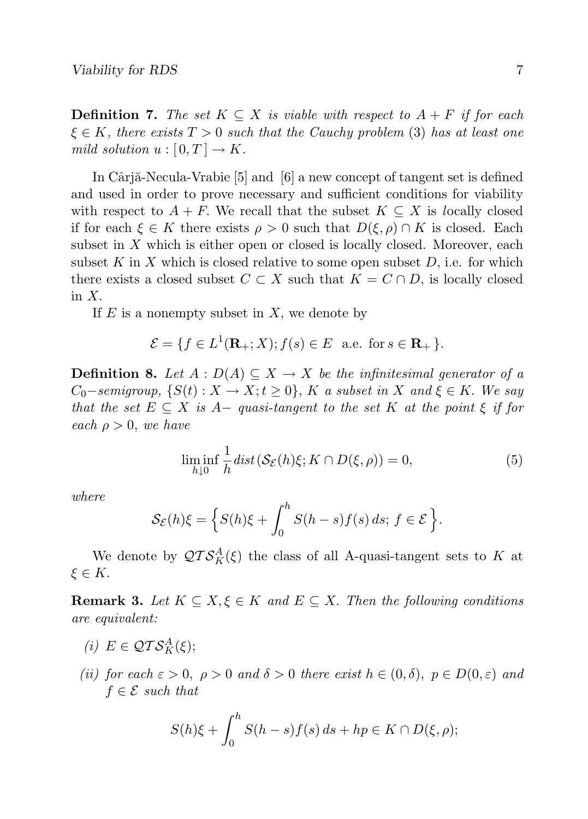**Definition 7.** The set  $K \subseteq X$  is viable with respect to  $A + F$  if for each  $\xi \in K$ , there exists  $T > 0$  such that the Cauchy problem (3) has at least one mild solution  $u : [0, T] \to K$ .

In Cârjă-Necula-Vrabie  $[5]$  and  $[6]$  a new concept of tangent set is defined and used in order to prove necessary and sufficient conditions for viability with respect to  $A + F$ . We recall that the subset  $K \subseteq X$  is locally closed if for each  $\xi \in K$  there exists  $\rho > 0$  such that  $D(\xi, \rho) \cap K$  is closed. Each subset in X which is either open or closed is locally closed. Moreover, each subset K in X which is closed relative to some open subset  $D$ , i.e. for which there exists a closed subset  $C \subset X$  such that  $K = C \cap D$ , is locally closed in X.

If  $E$  is a nonempty subset in  $X$ , we denote by

$$
\mathcal{E} = \{ f \in L^1(\mathbf{R}_+; X); f(s) \in E \text{ a.e. for } s \in \mathbf{R}_+ \}.
$$

**Definition 8.** Let  $A : D(A) \subseteq X \rightarrow X$  be the infinitesimal generator of a  $C_0$ −semigroup,  $\{S(t): X \to X; t \geq 0\}$ , K a subset in X and  $\xi \in K$ . We say that the set  $E \subseteq X$  is  $A-\text{ quasi-tangent to the set } K$  at the point  $\xi$  if for each  $\rho > 0$ , we have

$$
\liminf_{h \downarrow 0} \frac{1}{h} \operatorname{dist}(\mathcal{S}_{\mathcal{E}}(h)\xi; K \cap D(\xi, \rho)) = 0,\tag{5}
$$

where

$$
\mathcal{S}_{\mathcal{E}}(h)\xi = \left\{ S(h)\xi + \int_0^h S(h-s)f(s) \, ds; \, f \in \mathcal{E} \right\}.
$$

We denote by  $\mathcal{QTS}^A_K(\xi)$  the class of all A-quasi-tangent sets to K at  $\xi \in K$ .

**Remark 3.** Let  $K \subseteq X, \xi \in K$  and  $E \subseteq X$ . Then the following conditions are equivalent:

- (i)  $E \in \mathcal{QTS}_K^A(\xi);$
- (ii) for each  $\varepsilon > 0$ ,  $\rho > 0$  and  $\delta > 0$  there exist  $h \in (0, \delta)$ ,  $p \in D(0, \varepsilon)$  and  $f \in \mathcal{E}$  such that

$$
S(h)\xi + \int_0^h S(h-s)f(s) ds + hp \in K \cap D(\xi, \rho);
$$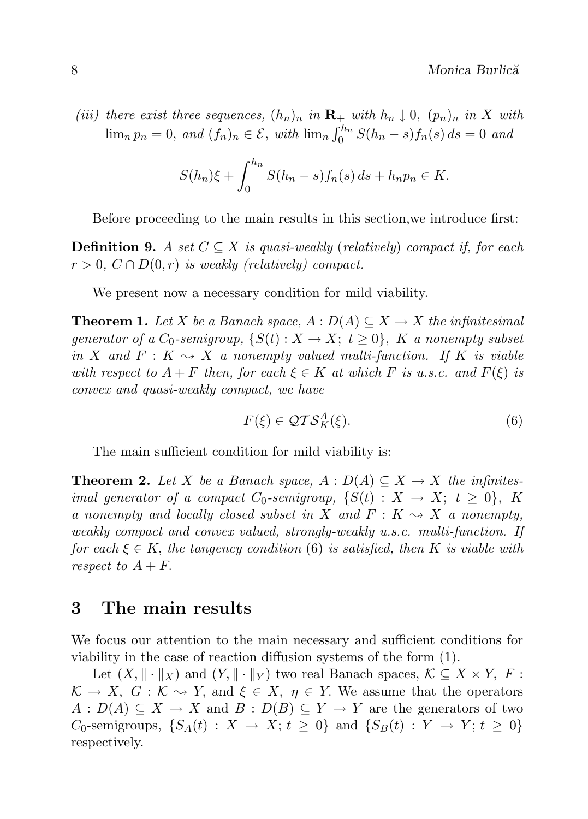(iii) there exist three sequences,  $(h_n)_n$  in  $\mathbf{R}_+$  with  $h_n \downarrow 0$ ,  $(p_n)_n$  in X with  $\lim_{n} p_n = 0$ , and  $(f_n)_n \in \mathcal{E}$ , with  $\lim_{n} \int_0^{h_n} S(h_n - s) f_n(s) ds = 0$  and

$$
S(h_n)\xi + \int_0^{h_n} S(h_n - s) f_n(s) ds + h_n p_n \in K.
$$

Before proceeding to the main results in this section,we introduce first:

**Definition 9.** A set  $C \subseteq X$  is quasi-weakly (relatively) compact if, for each  $r > 0$ ,  $C \cap D(0,r)$  is weakly (relatively) compact.

We present now a necessary condition for mild viability.

**Theorem 1.** Let X be a Banach space,  $A: D(A) \subseteq X \rightarrow X$  the infinitesimal generator of a  $C_0$ -semigroup,  $\{S(t): X \to X; t \geq 0\}$ , K a nonempty subset in X and  $F: K \rightarrow X$  a nonempty valued multi-function. If K is viable with respect to  $A + F$  then, for each  $\xi \in K$  at which F is u.s.c. and  $F(\xi)$  is convex and quasi-weakly compact, we have

$$
F(\xi) \in \mathcal{QTS}_K^A(\xi). \tag{6}
$$

The main sufficient condition for mild viability is:

**Theorem 2.** Let X be a Banach space,  $A : D(A) \subseteq X \rightarrow X$  the infinitesimal generator of a compact  $C_0$ -semigroup,  $\{S(t): X \to X; t \geq 0\}$ , K a nonempty and locally closed subset in X and  $F: K \rightarrow X$  a nonempty, weakly compact and convex valued, strongly-weakly u.s.c. multi-function. If for each  $\xi \in K$ , the tangency condition (6) is satisfied, then K is viable with respect to  $A + F$ .

### 3 The main results

We focus our attention to the main necessary and sufficient conditions for viability in the case of reaction diffusion systems of the form (1).

Let  $(X, \|\cdot\|_X)$  and  $(Y, \|\cdot\|_Y)$  two real Banach spaces,  $\mathcal{K} \subseteq X \times Y$ ,  $F$ :  $K \to X$ ,  $G : K \to Y$ , and  $\xi \in X$ ,  $\eta \in Y$ . We assume that the operators  $A: D(A) \subseteq X \to X$  and  $B: D(B) \subseteq Y \to Y$  are the generators of two  $C_0$ -semigroups,  $\{S_A(t): X \to X; t \geq 0\}$  and  $\{S_B(t): Y \to Y; t \geq 0\}$ respectively.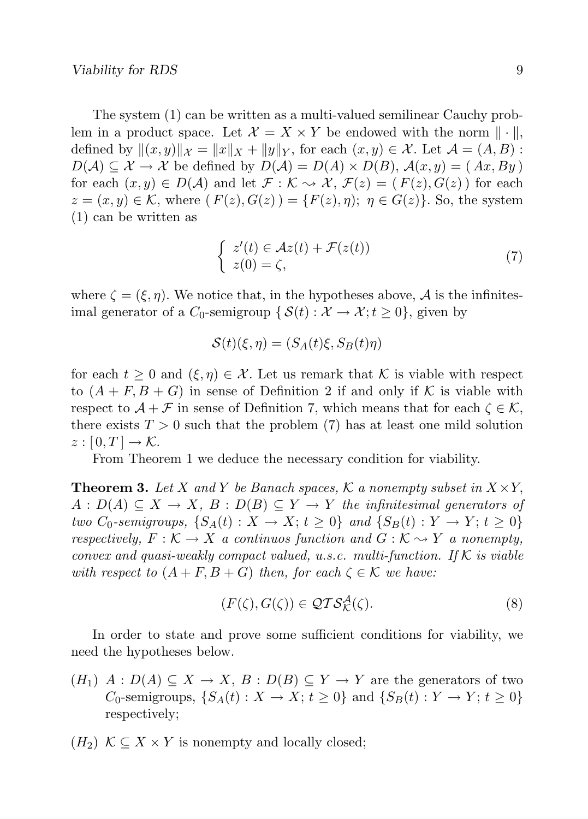The system (1) can be written as a multi-valued semilinear Cauchy problem in a product space. Let  $\mathcal{X} = X \times Y$  be endowed with the norm  $\|\cdot\|$ , defined by  $\|(x, y)\|_{\mathcal{X}} = \|x\|_{X} + \|y\|_{Y}$ , for each  $(x, y) \in \mathcal{X}$ . Let  $\mathcal{A} = (A, B)$ :  $D(\mathcal{A}) \subseteq \mathcal{X} \to \mathcal{X}$  be defined by  $D(\mathcal{A}) = D(\mathcal{A}) \times D(\mathcal{B})$ ,  $\mathcal{A}(x, y) = (Ax, By)$ for each  $(x, y) \in D(\mathcal{A})$  and let  $\mathcal{F}: \mathcal{K} \rightsquigarrow \mathcal{X}, \mathcal{F}(z) = (F(z), G(z))$  for each  $z = (x, y) \in \mathcal{K}$ , where  $(F(z), G(z)) = \{F(z), \eta\}; \eta \in G(z)\}.$  So, the system (1) can be written as

$$
\begin{cases}\n z'(t) \in \mathcal{A}z(t) + \mathcal{F}(z(t)) \\
 z(0) = \zeta,\n\end{cases} \tag{7}
$$

where  $\zeta = (\xi, \eta)$ . We notice that, in the hypotheses above, A is the infinitesimal generator of a  $C_0$ -semigroup  $\{ \mathcal{S}(t) : \mathcal{X} \to \mathcal{X}; t \geq 0 \}$ , given by

$$
\mathcal{S}(t)(\xi,\eta) = (S_A(t)\xi, S_B(t)\eta)
$$

for each  $t \geq 0$  and  $(\xi, \eta) \in \mathcal{X}$ . Let us remark that K is viable with respect to  $(A + F, B + G)$  in sense of Definition 2 if and only if K is viable with respect to  $\mathcal{A} + \mathcal{F}$  in sense of Definition 7, which means that for each  $\zeta \in \mathcal{K}$ , there exists  $T > 0$  such that the problem (7) has at least one mild solution  $z : [0, T] \to \mathcal{K}.$ 

From Theorem 1 we deduce the necessary condition for viability.

**Theorem 3.** Let X and Y be Banach spaces, K a nonempty subset in  $X \times Y$ ,  $A: D(A) \subseteq X \to X, B: D(B) \subseteq Y \to Y$  the infinitesimal generators of two  $C_0$ -semigroups,  $\{S_A(t): X \to X; t \geq 0\}$  and  $\{S_B(t): Y \to Y; t \geq 0\}$ respectively,  $F: \mathcal{K} \to X$  a continuos function and  $G: \mathcal{K} \to Y$  a nonempty, convex and quasi-weakly compact valued, u.s.c. multi-function. If  $K$  is viable with respect to  $(A + F, B + G)$  then, for each  $\zeta \in \mathcal{K}$  we have:

$$
(F(\zeta), G(\zeta)) \in \mathcal{QTS}_{\mathcal{K}}^{\mathcal{A}}(\zeta). \tag{8}
$$

In order to state and prove some sufficient conditions for viability, we need the hypotheses below.

- $(H_1)$   $A: D(A) \subseteq X \to X, B: D(B) \subseteq Y \to Y$  are the generators of two  $C_0$ -semigroups,  $\{S_A(t): X \to X; t \geq 0\}$  and  $\{S_B(t): Y \to Y; t \geq 0\}$ respectively;
- $(H_2)$   $K \subseteq X \times Y$  is nonempty and locally closed;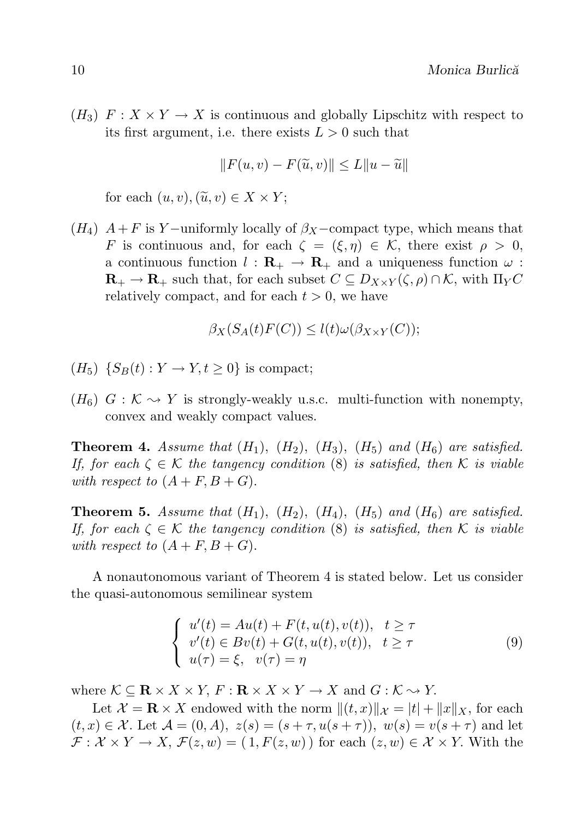$(H_3)$   $F: X \times Y \to X$  is continuous and globally Lipschitz with respect to its first argument, i.e. there exists  $L > 0$  such that

$$
||F(u, v) - F(\tilde{u}, v)|| \le L||u - \tilde{u}||
$$

for each  $(u, v), (\tilde{u}, v) \in X \times Y$ ;

 $(H_4)$   $A + F$  is Y –uniformly locally of  $\beta_X$  –compact type, which means that F is continuous and, for each  $\zeta = (\xi, \eta) \in \mathcal{K}$ , there exist  $\rho > 0$ , a continuous function  $l : \mathbf{R}_{+} \to \mathbf{R}_{+}$  and a uniqueness function  $\omega$ :  $\mathbf{R}_{+} \to \mathbf{R}_{+}$  such that, for each subset  $C \subseteq D_{X \times Y}(\zeta, \rho) \cap \mathcal{K}$ , with  $\Pi_{Y}C$ relatively compact, and for each  $t > 0$ , we have

$$
\beta_X(S_A(t)F(C)) \le l(t)\omega(\beta_{X\times Y}(C));
$$

- $(H_5)$   $\{S_B(t): Y \to Y, t \geq 0\}$  is compact;
- $(H_6)$   $G: \mathcal{K} \rightarrow Y$  is strongly-weakly u.s.c. multi-function with nonempty, convex and weakly compact values.

**Theorem 4.** Assume that  $(H_1)$ ,  $(H_2)$ ,  $(H_3)$ ,  $(H_5)$  and  $(H_6)$  are satisfied. If, for each  $\zeta \in \mathcal{K}$  the tangency condition (8) is satisfied, then K is viable with respect to  $(A + F, B + G)$ .

**Theorem 5.** Assume that  $(H_1)$ ,  $(H_2)$ ,  $(H_4)$ ,  $(H_5)$  and  $(H_6)$  are satisfied. If, for each  $\zeta \in \mathcal{K}$  the tangency condition (8) is satisfied, then K is viable with respect to  $(A + F, B + G)$ .

A nonautonomous variant of Theorem 4 is stated below. Let us consider the quasi-autonomous semilinear system

$$
\begin{cases}\n u'(t) = Au(t) + F(t, u(t), v(t)), & t \ge \tau \\
 v'(t) \in Bv(t) + G(t, u(t), v(t)), & t \ge \tau \\
 u(\tau) = \xi, & v(\tau) = \eta\n\end{cases} \tag{9}
$$

where  $\mathcal{K} \subseteq \mathbf{R} \times X \times Y$ ,  $F : \mathbf{R} \times X \times Y \to X$  and  $G : \mathcal{K} \to Y$ .

Let  $\mathcal{X} = \mathbf{R} \times X$  endowed with the norm  $||(t, x)||_{\mathcal{X}} = |t| + ||x||_{X}$ , for each  $(t, x) \in \mathcal{X}$ . Let  $\mathcal{A} = (0, A), z(s) = (s + \tau, u(s + \tau)), w(s) = v(s + \tau)$  and let  $\mathcal{F}: \mathcal{X} \times Y \to X, \ \mathcal{F}(z,w) = (1, F(z,w))$  for each  $(z,w) \in \mathcal{X} \times Y$ . With the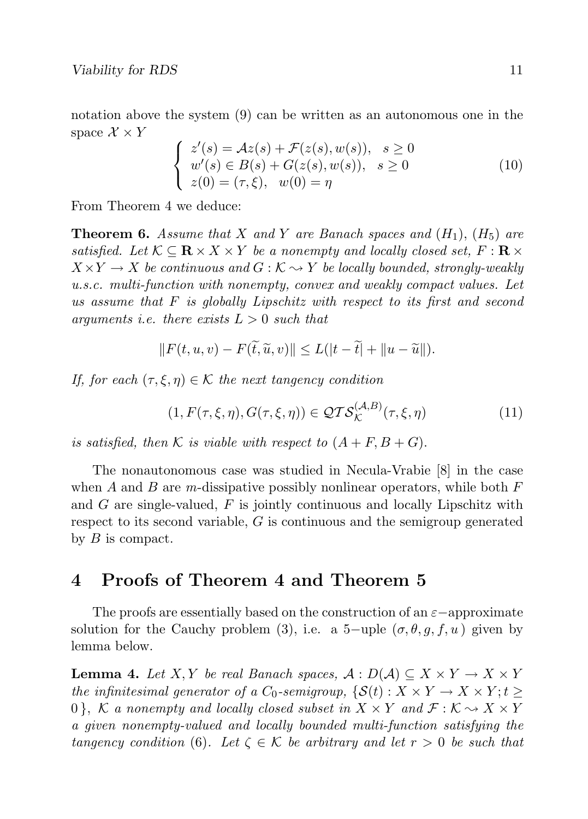notation above the system (9) can be written as an autonomous one in the space  $\mathcal{X} \times Y$ 

$$
\begin{cases}\nz'(s) = Az(s) + \mathcal{F}(z(s), w(s)), & s \ge 0 \\
w'(s) \in B(s) + G(z(s), w(s)), & s \ge 0 \\
z(0) = (\tau, \xi), & w(0) = \eta\n\end{cases}
$$
\n(10)

From Theorem 4 we deduce:

**Theorem 6.** Assume that X and Y are Banach spaces and  $(H_1)$ ,  $(H_5)$  are satisfied. Let  $\mathcal{K} \subseteq \mathbf{R} \times X \times Y$  be a nonempty and locally closed set,  $F : \mathbf{R} \times Y$  $X \times Y \to X$  be continuous and  $G: \mathcal{K} \to Y$  be locally bounded, strongly-weakly u.s.c. multi-function with nonempty, convex and weakly compact values. Let us assume that  $F$  is globally Lipschitz with respect to its first and second arguments i.e. there exists  $L > 0$  such that

$$
||F(t, u, v) - F(\tilde{t}, \tilde{u}, v)|| \le L(|t - \tilde{t}| + ||u - \tilde{u}||).
$$

If, for each  $(\tau, \xi, \eta) \in \mathcal{K}$  the next tangency condition

$$
(1, F(\tau, \xi, \eta), G(\tau, \xi, \eta)) \in \mathcal{QTS}_{\mathcal{K}}^{(\mathcal{A}, B)}(\tau, \xi, \eta)
$$
\n
$$
(11)
$$

is satisfied, then K is viable with respect to  $(A + F, B + G)$ .

The nonautonomous case was studied in Necula-Vrabie [8] in the case when A and B are m-dissipative possibly nonlinear operators, while both  $F$ and  $G$  are single-valued,  $F$  is jointly continuous and locally Lipschitz with respect to its second variable, G is continuous and the semigroup generated by  $B$  is compact.

## 4 Proofs of Theorem 4 and Theorem 5

The proofs are essentially based on the construction of an  $\varepsilon$  -approximate solution for the Cauchy problem (3), i.e. a 5-uple  $(\sigma, \theta, q, f, u)$  given by lemma below.

**Lemma 4.** Let X, Y be real Banach spaces,  $A: D(A) \subseteq X \times Y \to X \times Y$ the infinitesimal generator of a  $C_0$ -semigroup,  $\{S(t): X \times Y \to X \times Y; t \geq 0\}$ 0), K a nonempty and locally closed subset in  $X \times Y$  and  $\mathcal{F}: \mathcal{K} \to X \times Y$ a given nonempty-valued and locally bounded multi-function satisfying the tangency condition (6). Let  $\zeta \in \mathcal{K}$  be arbitrary and let  $r > 0$  be such that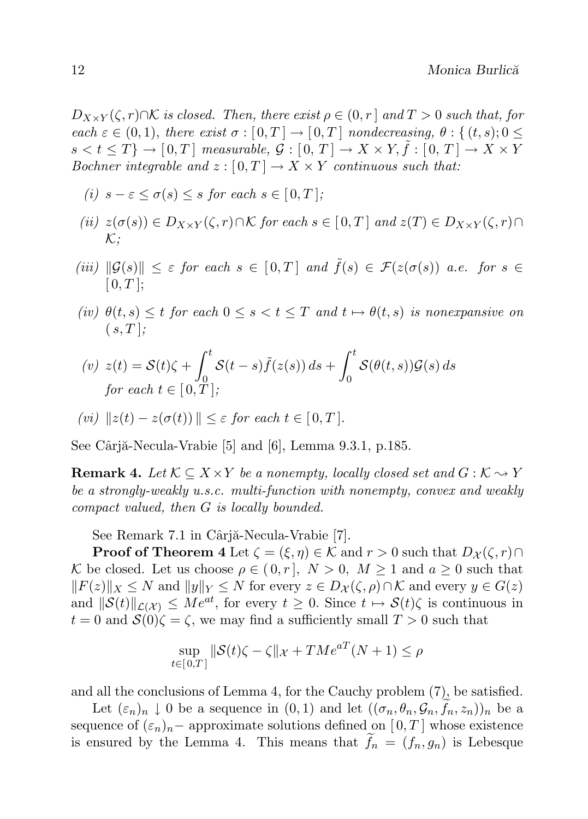$D_{X\times Y}(\zeta,r)\cap \mathcal{K}$  is closed. Then, there exist  $\rho\in(0,r]$  and  $T>0$  such that, for each  $\varepsilon \in (0,1)$ , there exist  $\sigma : [0,T] \to [0,T]$  nondecreasing,  $\theta : \{(t,s): 0 \leq$  $s < t \leq T$ }  $\rightarrow$  [0, T] measurable,  $\mathcal{G}: [0, T] \rightarrow X \times Y$ ,  $\tilde{f}: [0, T] \rightarrow X \times Y$ Bochner integrable and  $z : [0, T] \to X \times Y$  continuous such that:

- (i)  $s \varepsilon \leq \sigma(s) \leq s$  for each  $s \in [0, T]$ ;
- (ii)  $z(\sigma(s)) \in D_{X\times Y}(\zeta,r) \cap \mathcal{K}$  for each  $s \in [0,T]$  and  $z(T) \in D_{X\times Y}(\zeta,r) \cap$  $\mathcal{K}$ ;
- (iii)  $\|\mathcal{G}(s)\| \leq \varepsilon$  for each  $s \in [0,T]$  and  $\tilde{f}(s) \in \mathcal{F}(z(\sigma(s))$  a.e. for  $s \in$  $[0, T]$ ;
- (iv)  $\theta(t,s) \leq t$  for each  $0 \leq s < t \leq T$  and  $t \mapsto \theta(t,s)$  is nonexpansive on  $(s, T)$ :

$$
(v) \ z(t) = \mathcal{S}(t)\zeta + \int_0^t \mathcal{S}(t-s)\tilde{f}(z(s))\,ds + \int_0^t \mathcal{S}(\theta(t,s))\mathcal{G}(s)\,ds
$$
  
for each  $t \in [0,T]$ ;

$$
(vi) \|z(t) - z(\sigma(t))\| \le \varepsilon \text{ for each } t \in [0, T].
$$

See Cârjă-Necula-Vrabie  $[5]$  and  $[6]$ , Lemma 9.3.1, p.185.

**Remark 4.** Let  $\mathcal{K} \subseteq X \times Y$  be a nonempty, locally closed set and  $G : \mathcal{K} \rightarrow Y$ be a strongly-weakly u.s.c. multi-function with nonempty, convex and weakly compact valued, then G is locally bounded.

See Remark 7.1 in Câriă-Necula-Vrabie [7].

**Proof of Theorem 4** Let  $\zeta = (\xi, \eta) \in \mathcal{K}$  and  $r > 0$  such that  $D_{\mathcal{X}}(\zeta, r) \cap$ K be closed. Let us choose  $\rho \in (0, r]$ ,  $N > 0$ ,  $M \ge 1$  and  $a \ge 0$  such that  $||F(z)||_X \leq N$  and  $||y||_Y \leq N$  for every  $z \in D_{\mathcal{X}}(\zeta, \rho) \cap \mathcal{K}$  and every  $y \in G(z)$ and  $\|\mathcal{S}(t)\|_{\mathcal{L}(\mathcal{X})} \leq Me^{at}$ , for every  $t \geq 0$ . Since  $t \mapsto \mathcal{S}(t)\zeta$  is continuous in  $t = 0$  and  $S(0)\zeta = \zeta$ , we may find a sufficiently small  $T > 0$  such that

$$
\sup_{t \in [0,T]} \|\mathcal{S}(t)\zeta - \zeta\|_{\mathcal{X}} + TMe^{aT}(N+1) \le \rho
$$

and all the conclusions of Lemma 4, for the Cauchy problem (7), be satisfied.

Let  $(\varepsilon_n)_n \downarrow 0$  be a sequence in  $(0,1)$  and let  $((\sigma_n, \theta_n, \mathcal{G}_n, f_n, z_n))_n$  be a sequence of  $(\varepsilon_n)_n$  – approximate solutions defined on [0, T] whose existence is ensured by the Lemma 4. This means that  $\tilde{f}_n = (f_n, g_n)$  is Lebesque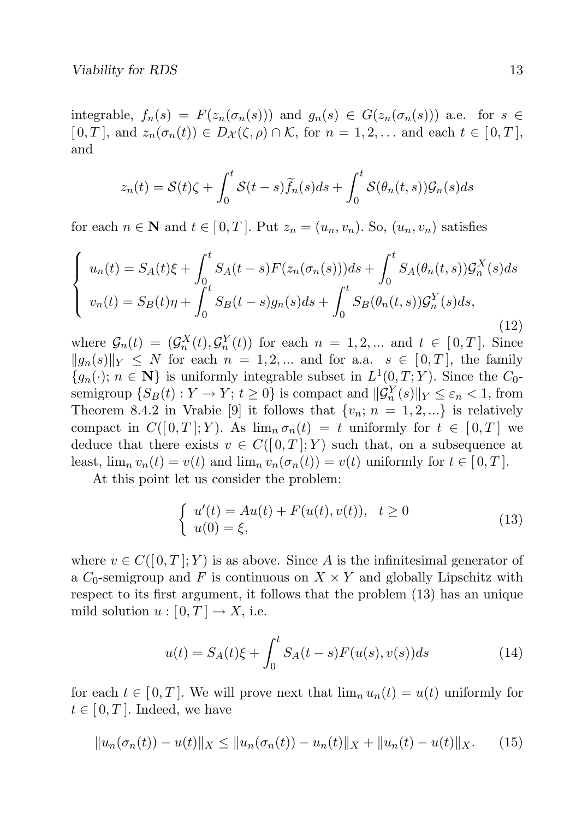integrable,  $f_n(s) = F(z_n(\sigma_n(s)))$  and  $g_n(s) \in G(z_n(\sigma_n(s)))$  a.e. for  $s \in$  $[0, T]$ , and  $z_n(\sigma_n(t)) \in D_{\mathcal{X}}(\zeta, \rho) \cap \mathcal{K}$ , for  $n = 1, 2, \ldots$  and each  $t \in [0, T]$ , and

$$
z_n(t) = \mathcal{S}(t)\zeta + \int_0^t \mathcal{S}(t-s)\widetilde{f}_n(s)ds + \int_0^t \mathcal{S}(\theta_n(t,s))\mathcal{G}_n(s)ds
$$

for each  $n \in \mathbb{N}$  and  $t \in [0, T]$ . Put  $z_n = (u_n, v_n)$ . So,  $(u_n, v_n)$  satisfies

$$
\begin{cases}\nu_n(t) = S_A(t)\xi + \int_0^t S_A(t-s)F(z_n(\sigma_n(s)))ds + \int_0^t S_A(\theta_n(t,s))\mathcal{G}_n^X(s)ds \\
v_n(t) = S_B(t)\eta + \int_0^t S_B(t-s)g_n(s)ds + \int_0^t S_B(\theta_n(t,s))\mathcal{G}_n^Y(s)ds,\n\end{cases} (12)
$$

where  $\mathcal{G}_n(t) = (\mathcal{G}_n^X(t), \mathcal{G}_n^Y(t))$  for each  $n = 1, 2, ...$  and  $t \in [0, T]$ . Since  $||g_n(s)||_Y \leq N$  for each  $n = 1, 2, ...$  and for a.a.  $s \in [0, T]$ , the family  ${g_n(\cdot)}; n \in \mathbb{N}$  is uniformly integrable subset in  $L^1(0,T;Y)$ . Since the  $C_0$ semigroup  $\{S_B(t) : Y \to Y; t \ge 0\}$  is compact and  $\|\mathcal{G}_n^Y(s)\|_Y \le \varepsilon_n < 1$ , from Theorem 8.4.2 in Vrabie [9] it follows that  $\{v_n; n = 1, 2, ...\}$  is relatively compact in  $C([0,T]; Y)$ . As  $\lim_{n \to \infty} \sigma_n(t) = t$  uniformly for  $t \in [0,T]$  we deduce that there exists  $v \in C([0,T];Y)$  such that, on a subsequence at least,  $\lim_{n} v_n(t) = v(t)$  and  $\lim_{n} v_n(\sigma_n(t)) = v(t)$  uniformly for  $t \in [0, T]$ .

At this point let us consider the problem:

$$
\begin{cases}\nu'(t) = Au(t) + F(u(t), v(t)), & t \ge 0 \\
u(0) = \xi,\n\end{cases}
$$
\n(13)

where  $v \in C([0,T]; Y)$  is as above. Since A is the infinitesimal generator of a  $C_0$ -semigroup and F is continuous on  $X \times Y$  and globally Lipschitz with respect to its first argument, it follows that the problem (13) has an unique mild solution  $u : [0, T] \to X$ , i.e.

$$
u(t) = S_A(t)\xi + \int_0^t S_A(t - s)F(u(s), v(s))ds
$$
 (14)

for each  $t \in [0, T]$ . We will prove next that  $\lim_n u_n(t) = u(t)$  uniformly for  $t \in [0, T]$ . Indeed, we have

$$
||u_n(\sigma_n(t)) - u(t)||_X \le ||u_n(\sigma_n(t)) - u_n(t)||_X + ||u_n(t) - u(t)||_X. \qquad (15)
$$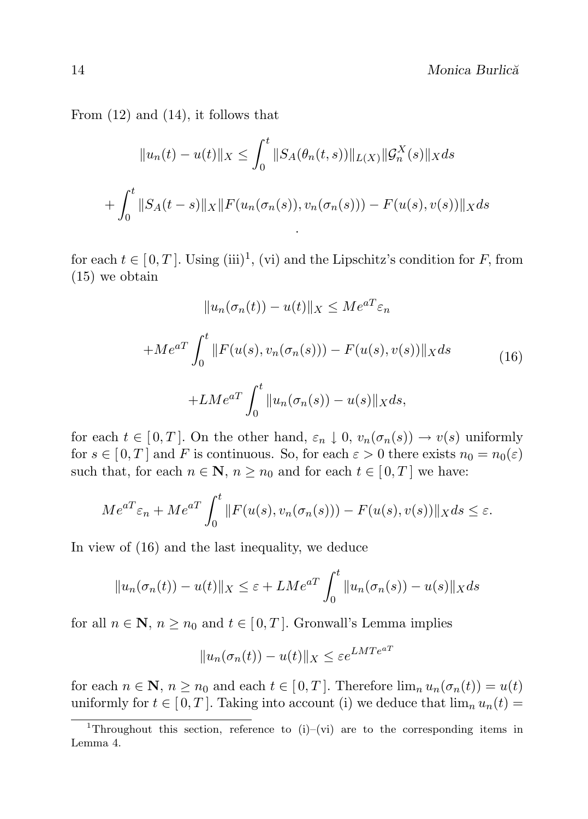From (12) and (14), it follows that

$$
||u_n(t) - u(t)||_X \le \int_0^t ||S_A(\theta_n(t,s))||_{L(X)} ||\mathcal{G}_n^X(s)||_X ds
$$
  
+ 
$$
\int_0^t ||S_A(t-s)||_X ||F(u_n(\sigma_n(s)), v_n(\sigma_n(s))) - F(u(s), v(s))||_X ds
$$

for each  $t \in [0, T]$ . Using (iii)<sup>1</sup>, (vi) and the Lipschitz's condition for F, from (15) we obtain

$$
||u_n(\sigma_n(t)) - u(t)||_X \le Me^{aT}\varepsilon_n
$$
  
+
$$
+ Me^{aT} \int_0^t ||F(u(s), v_n(\sigma_n(s))) - F(u(s), v(s))||_X ds
$$
  
+
$$
L Me^{aT} \int_0^t ||u_n(\sigma_n(s)) - u(s)||_X ds,
$$
 (16)

for each  $t \in [0, T]$ . On the other hand,  $\varepsilon_n \downarrow 0$ ,  $v_n(\sigma_n(s)) \to v(s)$  uniformly for  $s \in [0, T]$  and F is continuous. So, for each  $\varepsilon > 0$  there exists  $n_0 = n_0(\varepsilon)$ such that, for each  $n \in \mathbb{N}$ ,  $n \ge n_0$  and for each  $t \in [0, T]$  we have:

$$
Me^{aT}\varepsilon_n + Me^{aT}\int_0^t \|F(u(s), v_n(\sigma_n(s))) - F(u(s), v(s))\|_X ds \le \varepsilon.
$$

In view of (16) and the last inequality, we deduce

$$
||u_n(\sigma_n(t)) - u(t)||_X \leq \varepsilon + LMe^{aT} \int_0^t ||u_n(\sigma_n(s)) - u(s)||_X ds
$$

for all  $n \in \mathbb{N}$ ,  $n \ge n_0$  and  $t \in [0, T]$ . Gronwall's Lemma implies

$$
||u_n(\sigma_n(t)) - u(t)||_X \le \varepsilon e^{LMTe^{aT}}
$$

for each  $n \in \mathbb{N}$ ,  $n \ge n_0$  and each  $t \in [0, T]$ . Therefore  $\lim_n u_n(\sigma_n(t)) = u(t)$ uniformly for  $t \in [0, T]$ . Taking into account (i) we deduce that  $\lim_n u_n(t) =$ 

<sup>&</sup>lt;sup>1</sup>Throughout this section, reference to  $(i)$ – $(vi)$  are to the corresponding items in Lemma 4.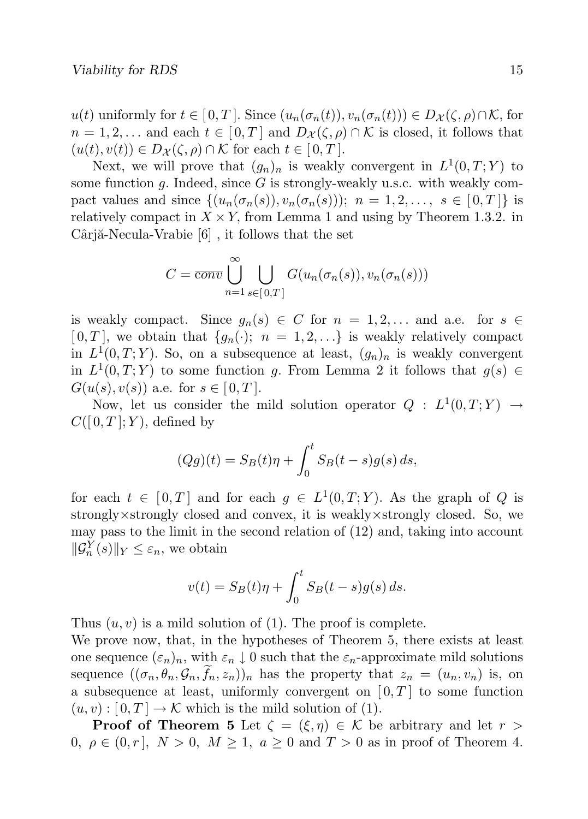u(t) uniformly for  $t \in [0, T]$ . Since  $(u_n(\sigma_n(t)), v_n(\sigma_n(t))) \in D_{\mathcal{X}}(\zeta, \rho) \cap \mathcal{K}$ , for  $n = 1, 2, \dots$  and each  $t \in [0, T]$  and  $D_{\mathcal{X}}(\zeta, \rho) \cap \mathcal{K}$  is closed, it follows that  $(u(t), v(t)) \in D_{\mathcal{X}}(\zeta, \rho) \cap \mathcal{K}$  for each  $t \in [0, T]$ .

Next, we will prove that  $(g_n)_n$  is weakly convergent in  $L^1(0,T;Y)$  to some function  $g$ . Indeed, since  $G$  is strongly-weakly u.s.c. with weakly compact values and since  $\{(u_n(\sigma_n(s)), v_n(\sigma_n(s))\}; n = 1, 2, \ldots, s \in [0, T]\}$  is relatively compact in  $X \times Y$ , from Lemma 1 and using by Theorem 1.3.2. in  $Cârjă-Necula-Vrabie [6]$ , it follows that the set

$$
C = \overline{conv} \bigcup_{n=1}^{\infty} \bigcup_{s \in [0,T]} G(u_n(\sigma_n(s)), v_n(\sigma_n(s)))
$$

is weakly compact. Since  $g_n(s) \in C$  for  $n = 1, 2, \ldots$  and a.e. for  $s \in$  $[0, T]$ , we obtain that  $\{g_n(\cdot); n = 1, 2, \ldots\}$  is weakly relatively compact in  $L^1(0,T;Y)$ . So, on a subsequence at least,  $(g_n)_n$  is weakly convergent in  $L^1(0,T;Y)$  to some function g. From Lemma 2 it follows that  $g(s) \in$  $G(u(s), v(s))$  a.e. for  $s \in [0, T]$ .

Now, let us consider the mild solution operator  $Q : L^1(0,T;Y) \to$  $C([0,T];Y)$ , defined by

$$
(Qg)(t) = S_B(t)\eta + \int_0^t S_B(t - s)g(s) ds,
$$

for each  $t \in [0,T]$  and for each  $g \in L^1(0,T;Y)$ . As the graph of Q is strongly×strongly closed and convex, it is weakly×strongly closed. So, we may pass to the limit in the second relation of (12) and, taking into account  $\|\mathcal{G}_n^Y(s)\|_Y \leq \varepsilon_n$ , we obtain

$$
v(t) = S_B(t)\eta + \int_0^t S_B(t - s)g(s) ds.
$$

Thus  $(u, v)$  is a mild solution of (1). The proof is complete.

We prove now, that, in the hypotheses of Theorem 5, there exists at least one sequence  $(\varepsilon_n)_n$ , with  $\varepsilon_n \downarrow 0$  such that the  $\varepsilon_n$ -approximate mild solutions sequence  $((\sigma_n, \theta_n, \mathcal{G}_n, f_n, z_n))_n$  has the property that  $z_n = (u_n, v_n)$  is, on a subsequence at least, uniformly convergent on  $[0, T]$  to some function  $(u, v) : [0, T] \to \mathcal{K}$  which is the mild solution of (1).

**Proof of Theorem 5** Let  $\zeta = (\xi, \eta) \in \mathcal{K}$  be arbitrary and let  $r >$ 0,  $\rho \in (0, r], N > 0, M \geq 1, a \geq 0$  and  $T > 0$  as in proof of Theorem 4.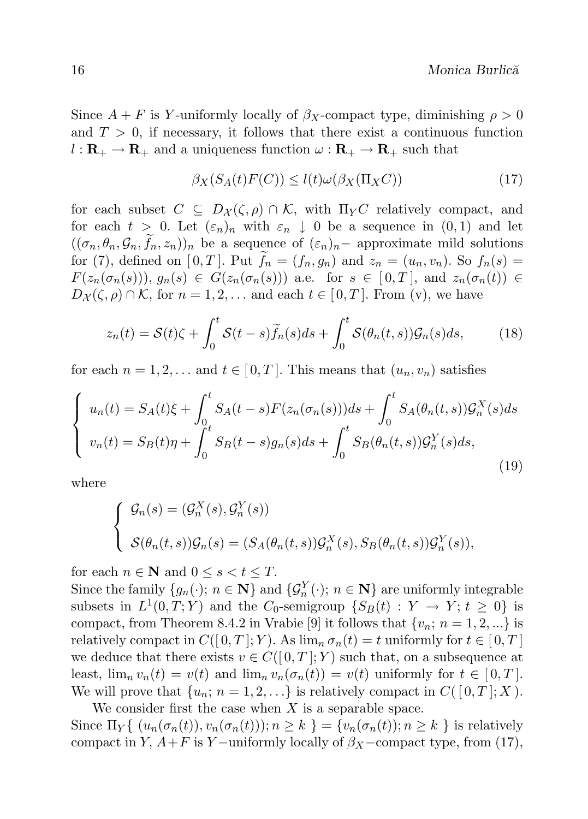Since  $A + F$  is Y-uniformly locally of  $\beta_X$ -compact type, diminishing  $\rho > 0$ and  $T > 0$ , if necessary, it follows that there exist a continuous function  $l : \mathbf{R}_{+} \to \mathbf{R}_{+}$  and a uniqueness function  $\omega : \mathbf{R}_{+} \to \mathbf{R}_{+}$  such that

$$
\beta_X(S_A(t)F(C)) \le l(t)\omega(\beta_X(\Pi_X C))\tag{17}
$$

for each subset  $C \subseteq D_{\mathcal{X}}(\zeta,\rho) \cap \mathcal{K}$ , with  $\Pi_Y C$  relatively compact, and for each  $t > 0$ . Let  $(\varepsilon_n)_n$  with  $\varepsilon_n \downarrow 0$  be a sequence in  $(0,1)$  and let  $((\sigma_n, \theta_n, \mathcal{G}_n, f_n, z_n))_n$  be a sequence of  $(\varepsilon_n)_n$  approximate mild solutions for (7), defined on [0, T]. Put  $\widetilde{f}_n = (f_n, g_n)$  and  $z_n = (u_n, v_n)$ . So  $f_n(s) =$  $F(z_n(\sigma_n(s)))$ ,  $g_n(s) \in G(z_n(\sigma_n(s)))$  a.e. for  $s \in [0,T]$ , and  $z_n(\sigma_n(t)) \in$  $D_{\mathcal{X}}(\zeta,\rho) \cap \mathcal{K}$ , for  $n = 1, 2, \ldots$  and each  $t \in [0,T]$ . From (v), we have

$$
z_n(t) = \mathcal{S}(t)\zeta + \int_0^t \mathcal{S}(t-s)\widetilde{f}_n(s)ds + \int_0^t \mathcal{S}(\theta_n(t,s))\mathcal{G}_n(s)ds,\tag{18}
$$

for each  $n = 1, 2, \ldots$  and  $t \in [0, T]$ . This means that  $(u_n, v_n)$  satisfies

$$
\begin{cases}\nu_n(t) = S_A(t)\xi + \int_0^t S_A(t-s)F(z_n(\sigma_n(s)))ds + \int_0^t S_A(\theta_n(t,s))\mathcal{G}_n^X(s)ds \\
v_n(t) = S_B(t)\eta + \int_0^t S_B(t-s)g_n(s)ds + \int_0^t S_B(\theta_n(t,s))\mathcal{G}_n^Y(s)ds,\n\end{cases} (19)
$$

where

$$
\begin{cases}\n\mathcal{G}_n(s) = (\mathcal{G}_n^X(s), \mathcal{G}_n^Y(s)) \\
\mathcal{S}(\theta_n(t,s))\mathcal{G}_n(s) = (S_A(\theta_n(t,s))\mathcal{G}_n^X(s), S_B(\theta_n(t,s))\mathcal{G}_n^Y(s)),\n\end{cases}
$$

for each  $n \in \mathbb{N}$  and  $0 \leq s < t \leq T$ .

Since the family  $\{g_n(\cdot); n \in \mathbb{N}\}\$  and  $\{\mathcal{G}_n^Y(\cdot); n \in \mathbb{N}\}\$  are uniformly integrable subsets in  $L^1(0,T;Y)$  and the  $C_0$ -semigroup  $\{S_B(t): Y \to Y; t \geq 0\}$  is compact, from Theorem 8.4.2 in Vrabie [9] it follows that  $\{v_n; n = 1, 2, ...\}$  is relatively compact in  $C([0,T]; Y)$ . As  $\lim_{n} \sigma_n(t) = t$  uniformly for  $t \in [0,T]$ we deduce that there exists  $v \in C([0,T];Y)$  such that, on a subsequence at least,  $\lim_n v_n(t) = v(t)$  and  $\lim_n v_n(\sigma_n(t)) = v(t)$  uniformly for  $t \in [0, T]$ . We will prove that  $\{u_n; n = 1, 2, ...\}$  is relatively compact in  $C([0, T]; X)$ .

We consider first the case when  $X$  is a separable space. Since  $\Pi_Y\{(u_n(\sigma_n(t)), v_n(\sigma_n(t))\}; n \ge k\} = \{v_n(\sigma_n(t)); n \ge k\}$  is relatively compact in Y,  $A+F$  is Y –uniformly locally of  $\beta_X$  –compact type, from (17),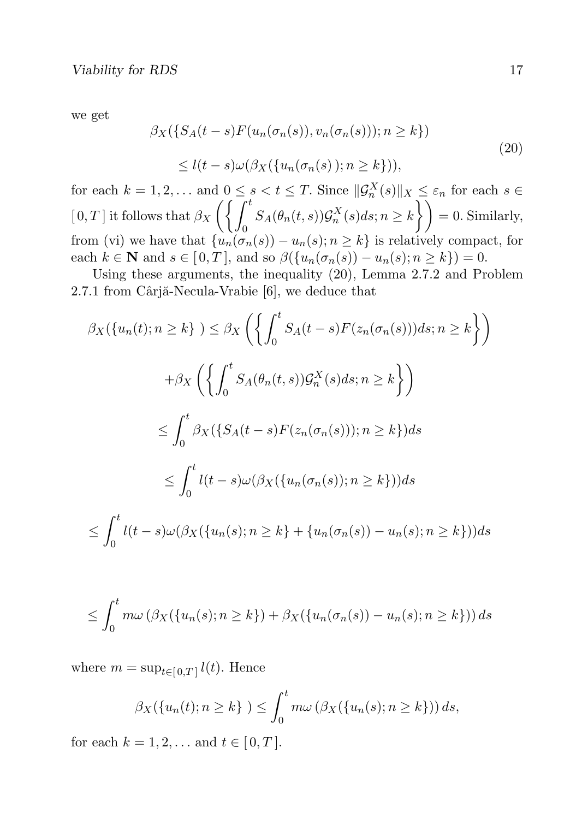we get

$$
\beta_X(\{S_A(t-s)F(u_n(\sigma_n(s)), v_n(\sigma_n(s))\}; n \ge k\})
$$
  

$$
\le l(t-s)\omega(\beta_X(\{u_n(\sigma_n(s)); n \ge k\})),
$$
\n(20)

for each  $k = 1, 2, ...$  and  $0 \le s < t \le T$ . Since  $\|\mathcal{G}_n^X(s)\|_X \le \varepsilon_n$  for each  $s \in$  $[0, T]$  it follows that  $\beta_X$  $\int \int f^t$  $\boldsymbol{0}$  $S_A(\theta_n(t,s))\mathcal{G}_n^X(s)ds; n\geq k\bigg\}\bigg)=0.$  Similarly, from (vi) we have that  $\{u_n(\sigma_n(s)) - u_n(s); n \geq k\}$  is relatively compact, for each  $k \in \mathbb{N}$  and  $s \in [0, T]$ , and so  $\beta({u_n(\sigma_n(s)) - u_n(s); n \ge k}) = 0$ .

Using these arguments, the inequality (20), Lemma 2.7.2 and Problem  $2.7.1$  from Cârjă-Necula-Vrabie [6], we deduce that

$$
\beta_X(\{u_n(t); n \ge k\}) \le \beta_X\left(\left\{\int_0^t S_A(t-s)F(z_n(\sigma_n(s)))ds; n \ge k\right\}\right)
$$
  
+
$$
\beta_X\left(\left\{\int_0^t S_A(\theta_n(t,s))\mathcal{G}_n^X(s)ds; n \ge k\right\}\right)
$$
  

$$
\le \int_0^t \beta_X(\{S_A(t-s)F(z_n(\sigma_n(s))); n \ge k\})ds
$$
  

$$
\le \int_0^t l(t-s)\omega(\beta_X(\{u_n(\sigma_n(s)); n \ge k\}))ds
$$
  

$$
\le \int_0^t l(t-s)\omega(\beta_X(\{u_n(s); n \ge k\} + \{u_n(\sigma_n(s)) - u_n(s); n \ge k\}))ds
$$

$$
\leq \int_0^t m\omega \left(\beta_X(\{u_n(s); n \geq k\}) + \beta_X(\{u_n(\sigma_n(s))-u_n(s); n \geq k\})\right) ds
$$

where  $m = \sup_{t \in [0,T]} l(t)$ . Hence

$$
\beta_X(\{u_n(t); n \ge k\}) \le \int_0^t m\omega \left(\beta_X(\{u_n(s); n \ge k\})\right) ds,
$$

for each  $k = 1, 2, ...$  and  $t \in [0, T]$ .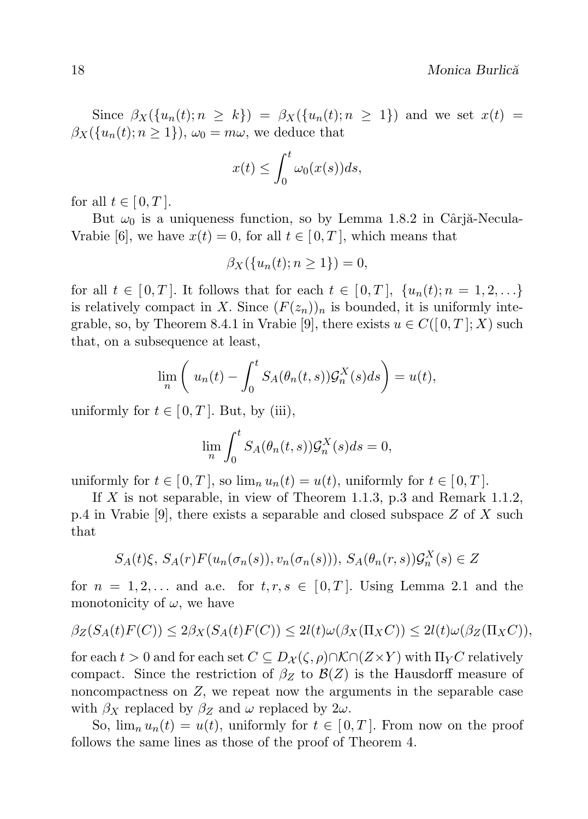Since  $\beta_X(\{u_n(t); n \ge k\}) = \beta_X(\{u_n(t); n \ge 1\})$  and we set  $x(t)$  $\beta_X(\{u_n(t); n \geq 1\}), \omega_0 = m\omega$ , we deduce that

$$
x(t) \le \int_0^t \omega_0(x(s))ds,
$$

for all  $t \in [0, T]$ .

But  $\omega_0$  is a uniqueness function, so by Lemma 1.8.2 in Cârjă-Necula-Vrabie [6], we have  $x(t) = 0$ , for all  $t \in [0, T]$ , which means that

$$
\beta_X(\{u_n(t); n \ge 1\}) = 0,
$$

for all  $t \in [0, T]$ . It follows that for each  $t \in [0, T]$ ,  $\{u_n(t); n = 1, 2, \ldots\}$ is relatively compact in X. Since  $(F(z_n))_n$  is bounded, it is uniformly integrable, so, by Theorem 8.4.1 in Vrabie [9], there exists  $u \in C([0,T];X)$  such that, on a subsequence at least,

$$
\lim_{n} \left( u_n(t) - \int_0^t S_A(\theta_n(t,s)) \mathcal{G}_n^X(s) ds \right) = u(t),
$$

uniformly for  $t \in [0, T]$ . But, by (iii),

$$
\lim_{n} \int_{0}^{t} S_A(\theta_n(t,s)) \mathcal{G}_n^X(s) ds = 0,
$$

uniformly for  $t \in [0, T]$ , so  $\lim_n u_n(t) = u(t)$ , uniformly for  $t \in [0, T]$ .

If X is not separable, in view of Theorem 1.1.3, p.3 and Remark 1.1.2, p.4 in Vrabie [9], there exists a separable and closed subspace  $Z$  of  $X$  such that

$$
S_A(t)\xi, S_A(r)F(u_n(\sigma_n(s)), v_n(\sigma_n(s))), S_A(\theta_n(r, s))\mathcal{G}_n^X(s) \in Z
$$

for  $n = 1, 2, \ldots$  and a.e. for  $t, r, s \in [0, T]$ . Using Lemma 2.1 and the monotonicity of  $\omega$ , we have

$$
\beta_Z(S_A(t)F(C)) \le 2\beta_X(S_A(t)F(C)) \le 2l(t)\omega(\beta_X(\Pi_XC)) \le 2l(t)\omega(\beta_Z(\Pi_XC)),
$$

for each  $t > 0$  and for each set  $C \subseteq D_{\mathcal{X}}(\zeta, \rho) \cap \mathcal{K} \cap (Z \times Y)$  with  $\Pi_Y C$  relatively compact. Since the restriction of  $\beta_Z$  to  $\mathcal{B}(Z)$  is the Hausdorff measure of noncompactness on Z, we repeat now the arguments in the separable case with  $\beta_X$  replaced by  $\beta_Z$  and  $\omega$  replaced by  $2\omega$ .

So,  $\lim_{n} u_n(t) = u(t)$ , uniformly for  $t \in [0, T]$ . From now on the proof follows the same lines as those of the proof of Theorem 4.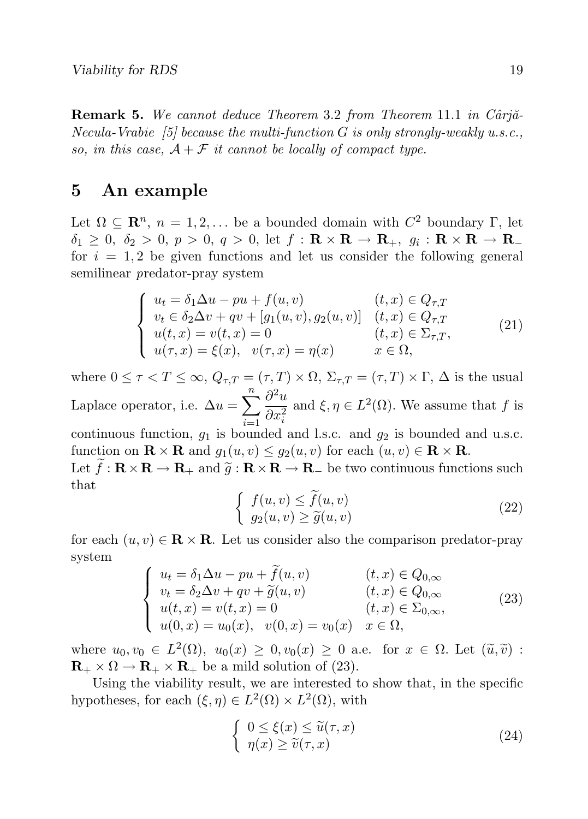**Remark 5.** We cannot deduce Theorem 3.2 from Theorem 11.1 in Cârjă-Necula-Vrabie [5] because the multi-function  $G$  is only strongly-weakly u.s.c., so, in this case,  $A + \mathcal{F}$  it cannot be locally of compact type.

## 5 An example

Let  $\Omega \subseteq \mathbb{R}^n$ ,  $n = 1, 2, \ldots$  be a bounded domain with  $C^2$  boundary  $\Gamma$ , let  $\delta_1 \geq 0, \ \delta_2 > 0, \ p > 0, \ q > 0, \ \mathrm{let} \ f : \mathbf{R} \times \mathbf{R} \to \mathbf{R}_+, \ g_i : \mathbf{R} \times \mathbf{R} \to \mathbf{R}_$ for  $i = 1, 2$  be given functions and let us consider the following general semilinear predator-pray system

$$
\begin{cases}\nu_t = \delta_1 \Delta u - pu + f(u, v) & (t, x) \in Q_{\tau, T} \\
v_t \in \delta_2 \Delta v + qv + [g_1(u, v), g_2(u, v)] & (t, x) \in Q_{\tau, T} \\
u(t, x) = v(t, x) = 0 & (t, x) \in \Sigma_{\tau, T}, \\
u(\tau, x) = \xi(x), & v(\tau, x) = \eta(x) & x \in \Omega,\n\end{cases}
$$
\n(21)

where  $0 \leq \tau < T \leq \infty$ ,  $Q_{\tau,T} = (\tau, T) \times \Omega$ ,  $\Sigma_{\tau,T} = (\tau, T) \times \Gamma$ ,  $\Delta$  is the usual Laplace operator, i.e.  $\Delta u = \sum_{n=1}^{n}$  $i=1$  $\partial^2 u$  $\overline{\partial x_i^2}$ and  $\xi, \eta \in L^2(\Omega)$ . We assume that f is

continuous function,  $g_1$  is bounded and l.s.c. and  $g_2$  is bounded and u.s.c. function on  $\mathbf{R} \times \mathbf{R}$  and  $g_1(u, v) \leq g_2(u, v)$  for each  $(u, v) \in \mathbf{R} \times \mathbf{R}$ .

Let  $\tilde{f}: \mathbf{R} \times \mathbf{R} \to \mathbf{R}_+$  and  $\tilde{g}: \mathbf{R} \times \mathbf{R} \to \mathbf{R}_-$  be two continuous functions such that

$$
\begin{cases}\nf(u,v) \leq \tilde{f}(u,v) \\
g_2(u,v) \geq \tilde{g}(u,v)\n\end{cases}
$$
\n(22)

for each  $(u, v) \in \mathbf{R} \times \mathbf{R}$ . Let us consider also the comparison predator-pray system

$$
\begin{cases}\n u_t = \delta_1 \Delta u - pu + \tilde{f}(u, v) & (t, x) \in Q_{0, \infty} \\
 v_t = \delta_2 \Delta v + qv + \tilde{g}(u, v) & (t, x) \in Q_{0, \infty} \\
 u(t, x) = v(t, x) = 0 & (t, x) \in \Sigma_{0, \infty}, \\
 u(0, x) = u_0(x), \quad v(0, x) = v_0(x) & x \in \Omega,\n\end{cases}\n\tag{23}
$$

where  $u_0, v_0 \in L^2(\Omega)$ ,  $u_0(x) \geq 0, v_0(x) \geq 0$  a.e. for  $x \in \Omega$ . Let  $(\tilde{u}, \tilde{v})$ :<br>  $\mathbf{P}_{\Omega} \times \mathbf{Q}_{\Omega}$ ,  $\mathbf{P}_{\Omega} \times \mathbf{P}_{\Omega}$  has mild solution of (23)  $\mathbf{R}_{+} \times \Omega \to \mathbf{R}_{+} \times \mathbf{R}_{+}$  be a mild solution of (23).

Using the viability result, we are interested to show that, in the specific hypotheses, for each  $(\xi, \eta) \in L^2(\Omega) \times L^2(\Omega)$ , with

$$
\begin{cases} 0 \le \xi(x) \le \widetilde{u}(\tau, x) \\ \eta(x) \ge \widetilde{v}(\tau, x) \end{cases}
$$
\n(24)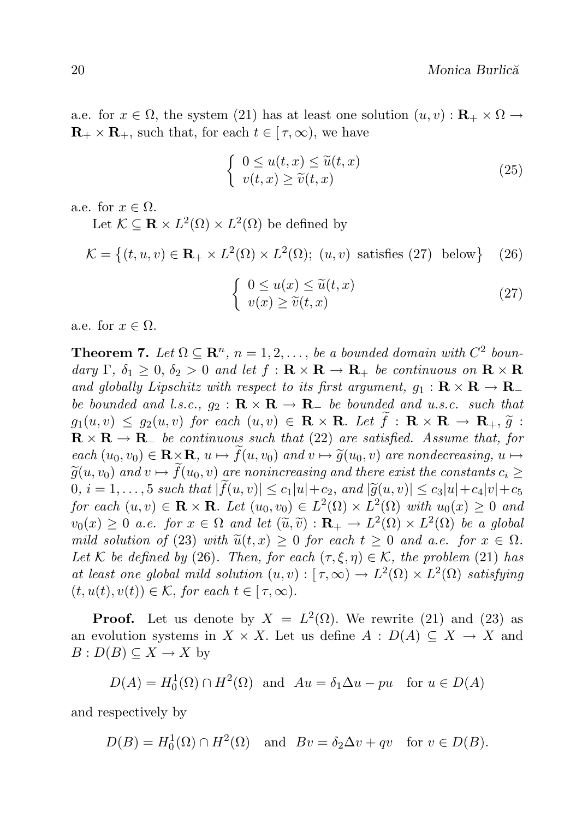a.e. for  $x \in \Omega$ , the system (21) has at least one solution  $(u, v) : \mathbf{R}_{+} \times \Omega \to$  $\mathbf{R}_{+} \times \mathbf{R}_{+}$ , such that, for each  $t \in [\tau, \infty)$ , we have

$$
\begin{cases} 0 \le u(t,x) \le \widetilde{u}(t,x) \\ v(t,x) \ge \widetilde{v}(t,x) \end{cases}
$$
\n(25)

a.e. for  $x \in \Omega$ .

Let  $\mathcal{K} \subseteq \mathbf{R} \times L^2(\Omega) \times L^2(\Omega)$  be defined by

$$
\mathcal{K} = \left\{ (t, u, v) \in \mathbf{R}_+ \times L^2(\Omega) \times L^2(\Omega); (u, v) \text{ satisfies (27) below} \right\} \quad (26)
$$

$$
\begin{cases} 0 \le u(x) \le \tilde{u}(t, x) \\ v(x) \ge \tilde{v}(t, x) \end{cases}
$$
 (27)

a.e. for  $x \in \Omega$ .

**Theorem 7.** Let  $\Omega \subseteq \mathbb{R}^n$ ,  $n = 1, 2, \ldots$ , be a bounded domain with  $C^2$  boundary Γ,  $\delta_1 \geq 0$ ,  $\delta_2 > 0$  and let  $f : \mathbf{R} \times \mathbf{R} \to \mathbf{R}_+$  be continuous on  $\mathbf{R} \times \mathbf{R}$ and globally Lipschitz with respect to its first argument,  $g_1 : \mathbf{R} \times \mathbf{R} \to \mathbf{R}_$ be bounded and l.s.c.,  $g_2 : \mathbf{R} \times \mathbf{R} \to \mathbf{R}_-$  be bounded and u.s.c. such that  $g_1(u, v) \le g_2(u, v)$  for each  $(u, v) \in \mathbf{R} \times \mathbf{R}$ . Let  $\tilde{f}: \mathbf{R} \times \mathbf{R} \to \mathbf{R}_+, \tilde{g}:$  $\mathbf{R} \times \mathbf{R} \to \mathbf{R}$  be continuous such that (22) are satisfied. Assume that, for each  $(u_0, v_0) \in \mathbf{R} \times \mathbf{R}$ ,  $u \mapsto f(u, v_0)$  and  $v \mapsto \tilde{g}(u_0, v)$  are nondecreasing,  $u \mapsto$  $\tilde{g}(u, v_0)$  and  $v \mapsto f(u_0, v)$  are nonincreasing and there exist the constants  $c_i \geq$  $0, i = 1, ..., 5$  such that  $|f(u, v)| \le c_1 |u| + c_2$ , and  $|\widetilde{g}(u, v)| \le c_3 |u| + c_4 |v| + c_5$ for each  $(u, v) \in \mathbf{R} \times \mathbf{R}$ . Let  $(u_0, v_0) \in L^2(\Omega) \times L^2(\Omega)$  with  $u_0(x) \geq 0$  and  $v_0(x) \geq 0$  a.e. for  $x \in \Omega$  and let  $(\tilde{u}, \tilde{v}) : \mathbf{R}_+ \to L^2(\Omega) \times L^2(\Omega)$  be a global<br>mild solution of (23) with  $\tilde{v}(t, x) > 0$  for each  $t > 0$  and e.e. for  $x \in \Omega$ mild solution of (23) with  $\tilde{u}(t, x) \geq 0$  for each  $t \geq 0$  and a.e. for  $x \in \Omega$ . Let K be defined by (26). Then, for each  $(\tau, \xi, \eta) \in \mathcal{K}$ , the problem (21) has at least one global mild solution  $(u, v) : [\tau, \infty) \to L^2(\Omega) \times L^2(\Omega)$  satisfying  $(t, u(t), v(t)) \in K$ , for each  $t \in [\tau, \infty)$ .

**Proof.** Let us denote by  $X = L^2(\Omega)$ . We rewrite (21) and (23) as an evolution systems in  $X \times X$ . Let us define  $A : D(A) \subseteq X \to X$  and  $B: D(B) \subseteq X \to X$  by

$$
D(A) = H_0^1(\Omega) \cap H^2(\Omega)
$$
 and  $Au = \delta_1 \Delta u - pu$  for  $u \in D(A)$ 

and respectively by

 $D(B) = H_0^1(\Omega) \cap H^2(\Omega)$  and  $Bv = \delta_2 \Delta v + qv$  for  $v \in D(B)$ .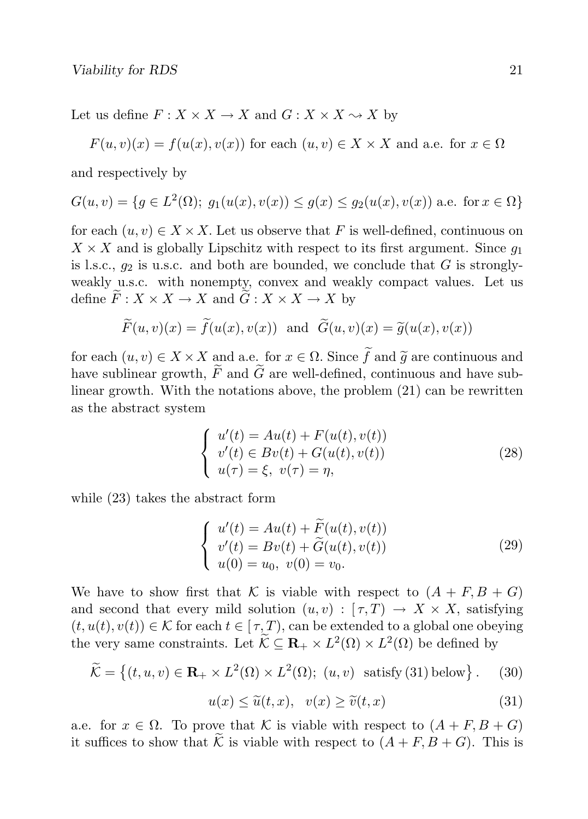Let us define  $F: X \times X \to X$  and  $G: X \times X \to X$  by

$$
F(u, v)(x) = f(u(x), v(x))
$$
 for each  $(u, v) \in X \times X$  and a.e. for  $x \in \Omega$ 

and respectively by

$$
G(u, v) = \{ g \in L^{2}(\Omega) ; g_1(u(x), v(x)) \le g(x) \le g_2(u(x), v(x)) \text{ a.e. for } x \in \Omega \}
$$

for each  $(u, v) \in X \times X$ . Let us observe that F is well-defined, continuous on  $X \times X$  and is globally Lipschitz with respect to its first argument. Since  $q_1$ is l.s.c.,  $q_2$  is u.s.c. and both are bounded, we conclude that G is stronglyweakly u.s.c. with nonempty, convex and weakly compact values. Let us define  $\widetilde{F}: X \times X \to X$  and  $\widetilde{G}: X \times X \to X$  by

$$
\widetilde{F}(u, v)(x) = \widetilde{f}(u(x), v(x))
$$
 and  $\widetilde{G}(u, v)(x) = \widetilde{g}(u(x), v(x))$ 

for each  $(u, v) \in X \times X$  and a.e. for  $x \in \Omega$ . Since  $\tilde{f}$  and  $\tilde{g}$  are continuous and have sublinear growth,  $\widetilde{F}$  and  $\widetilde{G}$  are well-defined, continuous and have sublinear growth. With the notations above, the problem (21) can be rewritten as the abstract system

$$
\begin{cases}\n u'(t) = Au(t) + F(u(t), v(t)) \\
 v'(t) \in Bv(t) + G(u(t), v(t)) \\
 u(\tau) = \xi, \ v(\tau) = \eta,\n\end{cases}
$$
\n(28)

while (23) takes the abstract form

$$
\begin{cases}\n u'(t) = Au(t) + \widetilde{F}(u(t), v(t)) \\
 v'(t) = Bv(t) + \widetilde{G}(u(t), v(t)) \\
 u(0) = u_0, \ v(0) = v_0.\n\end{cases}
$$
\n(29)

We have to show first that K is viable with respect to  $(A + F, B + G)$ and second that every mild solution  $(u, v) : [\tau, T] \to X \times X$ , satisfying  $(t, u(t), v(t)) \in K$  for each  $t \in [\tau, T)$ , can be extended to a global one obeying the very same constraints. Let  $\widetilde{\mathcal{K}} \subseteq \mathbf{R}_+ \times L^2(\Omega) \times L^2(\Omega)$  be defined by

$$
\widetilde{\mathcal{K}} = \left\{ (t, u, v) \in \mathbf{R}_+ \times L^2(\Omega) \times L^2(\Omega); \ (u, v) \text{ satisfy (31) below} \right\}. \tag{30}
$$

$$
u(x) \le \tilde{u}(t, x), \quad v(x) \ge \tilde{v}(t, x) \tag{31}
$$

a.e. for  $x \in \Omega$ . To prove that K is viable with respect to  $(A + F, B + G)$ it suffices to show that  $\widetilde{\mathcal{K}}$  is viable with respect to  $(A + F, B + G)$ . This is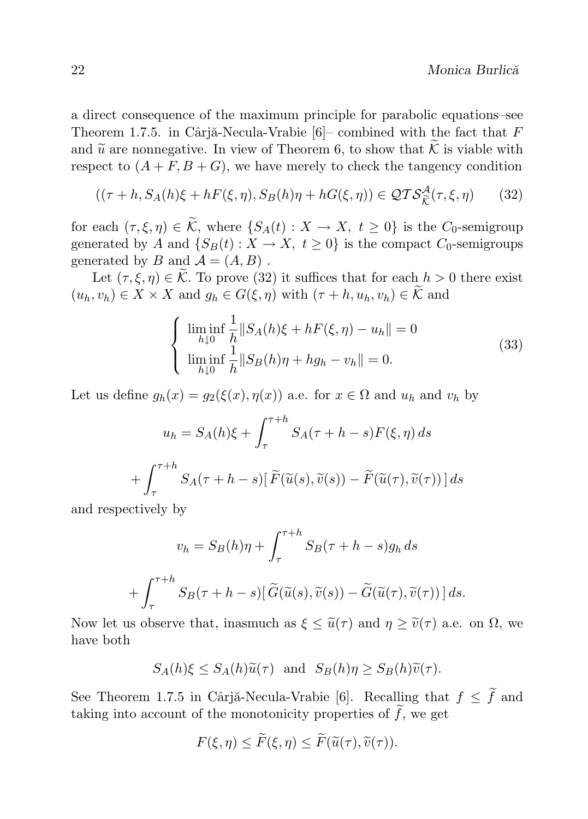a direct consequence of the maximum principle for parabolic equations–see Theorem 1.7.5. in Cârjă-Necula-Vrabie  $[6]$ – combined with the fact that F and  $\tilde{u}$  are nonnegative. In view of Theorem 6, to show that  $\tilde{\mathcal{K}}$  is viable with respect to  $(A + F, B + G)$ , we have merely to check the tangency condition

$$
((\tau + h, S_A(h)\xi + hF(\xi, \eta), S_B(h)\eta + hG(\xi, \eta)) \in \mathcal{QTS}_{\widetilde{\mathcal{K}}}^{\mathcal{A}}(\tau, \xi, \eta)
$$
 (32)

for each  $(\tau, \xi, \eta) \in \widetilde{\mathcal{K}}$ , where  $\{S_A(t) : X \to X, t \geq 0\}$  is the  $C_0$ -semigroup generated by A and  $\{S_B(t): X \to X, t \geq 0\}$  is the compact  $C_0$ -semigroups generated by B and  $\mathcal{A} = (A, B)$ .

Let  $(\tau, \xi, \eta) \in \mathcal{K}$ . To prove (32) it suffices that for each  $h > 0$  there exist  $(u_h, v_h) \in X \times X$  and  $g_h \in G(\xi, \eta)$  with  $(\tau + h, u_h, v_h) \in \widetilde{\mathcal{K}}$  and

$$
\begin{cases}\n\liminf_{h\downarrow 0} \frac{1}{h} \|S_A(h)\xi + hF(\xi, \eta) - u_h\| = 0 \\
\liminf_{h\downarrow 0} \frac{1}{h} \|S_B(h)\eta + h g_h - v_h\| = 0.\n\end{cases}
$$
\n(33)

Let us define  $g_h(x) = g_2(\xi(x), \eta(x))$  a.e. for  $x \in \Omega$  and  $u_h$  and  $v_h$  by

$$
u_h = S_A(h)\xi + \int_{\tau}^{\tau+h} S_A(\tau+h-s)F(\xi,\eta) ds
$$

$$
+ \int_{\tau}^{\tau+h} S_A(\tau+h-s)[\widetilde{F}(\widetilde{u}(s),\widetilde{v}(s)) - \widetilde{F}(\widetilde{u}(\tau),\widetilde{v}(\tau))] ds
$$

and respectively by

$$
v_h = S_B(h)\eta + \int_{\tau}^{\tau+h} S_B(\tau+h-s)g_h ds
$$

$$
+ \int_{\tau}^{\tau+h} S_B(\tau+h-s)[\widetilde{G}(\widetilde{u}(s),\widetilde{v}(s)) - \widetilde{G}(\widetilde{u}(\tau),\widetilde{v}(\tau))] ds.
$$

Now let us observe that, inasmuch as  $\xi \leq \tilde{u}(\tau)$  and  $\eta \geq \tilde{v}(\tau)$  a.e. on  $\Omega$ , we have both

$$
S_A(h)\xi \le S_A(h)\widetilde{u}(\tau) \text{ and } S_B(h)\eta \ge S_B(h)\widetilde{v}(\tau).
$$

See Theorem 1.7.5 in Cârjă-Necula-Vrabie [6]. Recalling that  $f \leq \tilde{f}$  and taking into account of the monotonicity properties of  $\tilde{f}$ , we get

$$
F(\xi, \eta) \leq \widetilde{F}(\xi, \eta) \leq \widetilde{F}(\widetilde{u}(\tau), \widetilde{v}(\tau)).
$$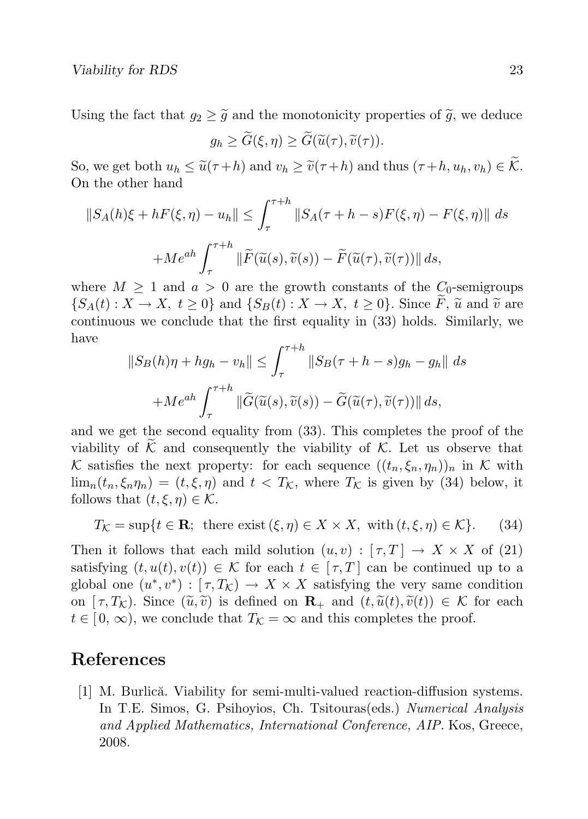Using the fact that  $q_2 \geq \tilde{q}$  and the monotonicity properties of  $\tilde{q}$ , we deduce

$$
g_h \geq \widetilde{G}(\xi, \eta) \geq \widetilde{G}(\widetilde{u}(\tau), \widetilde{v}(\tau)).
$$

So, we get both  $u_h \leq \tilde{u}(\tau+h)$  and  $v_h \geq \tilde{v}(\tau+h)$  and thus  $(\tau+h, u_h, v_h) \in \tilde{\mathcal{K}}$ . On the other hand

$$
||S_A(h)\xi + hF(\xi, \eta) - u_h|| \le \int_{\tau}^{\tau+h} ||S_A(\tau + h - s)F(\xi, \eta) - F(\xi, \eta)|| ds
$$
  
+ 
$$
+ Me^{ah} \int_{\tau}^{\tau+h} ||\widetilde{F}(\widetilde{u}(s), \widetilde{v}(s)) - \widetilde{F}(\widetilde{u}(\tau), \widetilde{v}(\tau))|| ds,
$$

where  $M \geq 1$  and  $a > 0$  are the growth constants of the  $C_0$ -semigroups  $\{S_A(t): X \to X, t \geq 0\}$  and  $\{S_B(t): X \to X, t \geq 0\}$ . Since F,  $\tilde{u}$  and  $\tilde{v}$  are continuous we conclude that the first equality in (33) holds. Similarly, we have

$$
||S_B(h)\eta + hg_h - v_h|| \le \int_{\tau}^{\tau+h} ||S_B(\tau + h - s)g_h - g_h|| ds
$$
  
+
$$
+ Me^{ah} \int_{\tau}^{\tau+h} ||\widetilde{G}(\widetilde{u}(s), \widetilde{v}(s)) - \widetilde{G}(\widetilde{u}(\tau), \widetilde{v}(\tau))|| ds,
$$

and we get the second equality from (33). This completes the proof of the viability of  $\tilde{\mathcal{K}}$  and consequently the viability of  $\mathcal{K}$ . Let us observe that K satisfies the next property: for each sequence  $((t_n, \xi_n, \eta_n))_n$  in K with  $\lim_{n} (t_n, \xi_n \eta_n) = (t, \xi, \eta)$  and  $t < T_K$ , where  $T_K$  is given by (34) below, it follows that  $(t, \xi, \eta) \in \mathcal{K}$ .

$$
T_{\mathcal{K}} = \sup\{t \in \mathbf{R}; \text{ there exist } (\xi, \eta) \in X \times X, \text{ with } (t, \xi, \eta) \in \mathcal{K}\}. \tag{34}
$$

Then it follows that each mild solution  $(u, v) : [\tau, T] \to X \times X$  of (21) satisfying  $(t, u(t), v(t)) \in \mathcal{K}$  for each  $t \in [\tau, T]$  can be continued up to a global one  $(u^*, v^*) : [\tau, T_{\mathcal{K}}) \to X \times X$  satisfying the very same condition on  $[\tau, T_{\mathcal{K}}]$ . Since  $(\tilde{u}, \tilde{v})$  is defined on  $\mathbf{R}_{+}$  and  $(t, \tilde{u}(t), \tilde{v}(t)) \in \mathcal{K}$  for each  $t \in [0, \infty)$ , we conclude that  $T_K = \infty$  and this completes the proof.

## References

[1] M. Burlică. Viability for semi-multi-valued reaction-diffusion systems. In T.E. Simos, G. Psihoyios, Ch. Tsitouras(eds.) Numerical Analysis and Applied Mathematics, International Conference, AIP. Kos, Greece, 2008.